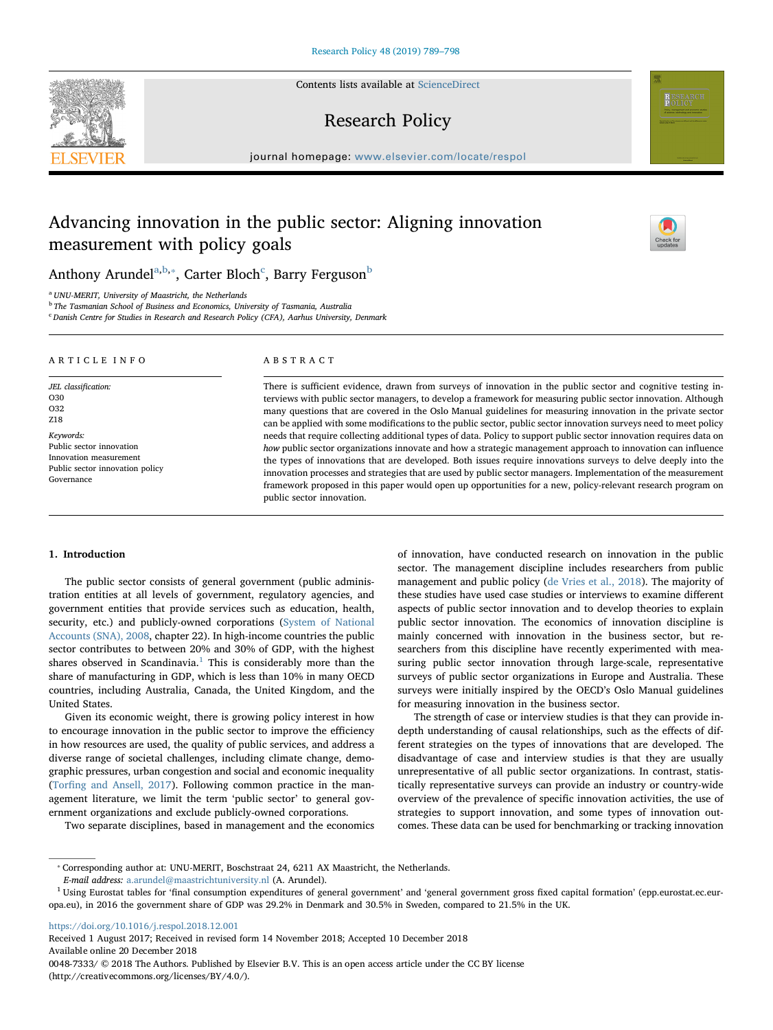Contents lists available at [ScienceDirect](http://www.sciencedirect.com/science/journal/00487333)

# Research Policy

journal homepage: [www.elsevier.com/locate/respol](https://www.elsevier.com/locate/respol)

# Advancing innovation in the public sector: Aligning innovation measurement with policy goals

Anthony Arundel $\text{a,b},\ast$  $\text{a,b},\ast$  $\text{a,b},\ast$  $\text{a,b},\ast$ , Carter Blo[c](#page-0-3)h $\text{c}$ , Barry Ferguson $\text{b}$ 

<span id="page-0-0"></span><sup>a</sup> UNU-MERIT, University of Maastricht, the Netherlands

<span id="page-0-1"></span><sup>b</sup> The Tasmanian School of Business and Economics, University of Tasmania, Australia

<span id="page-0-3"></span><sup>c</sup> Danish Centre for Studies in Research and Research Policy (CFA), Aarhus University, Denmark

# ARTICLE INFO

JEL classification: O30 O32 Z18 Keywords: Public sector innovation Innovation measurement Public sector innovation policy Governance

## ABSTRACT

There is sufficient evidence, drawn from surveys of innovation in the public sector and cognitive testing interviews with public sector managers, to develop a framework for measuring public sector innovation. Although many questions that are covered in the Oslo Manual guidelines for measuring innovation in the private sector can be applied with some modifications to the public sector, public sector innovation surveys need to meet policy needs that require collecting additional types of data. Policy to support public sector innovation requires data on how public sector organizations innovate and how a strategic management approach to innovation can influence the types of innovations that are developed. Both issues require innovations surveys to delve deeply into the innovation processes and strategies that are used by public sector managers. Implementation of the measurement framework proposed in this paper would open up opportunities for a new, policy-relevant research program on public sector innovation.

# 1. Introduction

The public sector consists of general government (public administration entities at all levels of government, regulatory agencies, and government entities that provide services such as education, health, security, etc.) and publicly-owned corporations [\(System of National](#page-9-0) [Accounts \(SNA\), 2008](#page-9-0), chapter 22). In high-income countries the public sector contributes to between 20% and 30% of GDP, with the highest shares observed in Scandinavia.<sup>[1](#page-0-4)</sup> This is considerably more than the share of manufacturing in GDP, which is less than 10% in many OECD countries, including Australia, Canada, the United Kingdom, and the United States.

Given its economic weight, there is growing policy interest in how to encourage innovation in the public sector to improve the efficiency in how resources are used, the quality of public services, and address a diverse range of societal challenges, including climate change, demographic pressures, urban congestion and social and economic inequality (Torfi[ng and Ansell, 2017](#page-9-1)). Following common practice in the management literature, we limit the term 'public sector' to general government organizations and exclude publicly-owned corporations.

Two separate disciplines, based in management and the economics

of innovation, have conducted research on innovation in the public sector. The management discipline includes researchers from public management and public policy [\(de Vries et al., 2018](#page-8-0)). The majority of these studies have used case studies or interviews to examine different aspects of public sector innovation and to develop theories to explain public sector innovation. The economics of innovation discipline is mainly concerned with innovation in the business sector, but researchers from this discipline have recently experimented with measuring public sector innovation through large-scale, representative surveys of public sector organizations in Europe and Australia. These surveys were initially inspired by the OECD's Oslo Manual guidelines for measuring innovation in the business sector.

The strength of case or interview studies is that they can provide indepth understanding of causal relationships, such as the effects of different strategies on the types of innovations that are developed. The disadvantage of case and interview studies is that they are usually unrepresentative of all public sector organizations. In contrast, statistically representative surveys can provide an industry or country-wide overview of the prevalence of specific innovation activities, the use of strategies to support innovation, and some types of innovation outcomes. These data can be used for benchmarking or tracking innovation

<https://doi.org/10.1016/j.respol.2018.12.001> Received 1 August 2017; Received in revised form 14 November 2018; Accepted 10 December 2018

Available online 20 December 2018 0048-7333/ © 2018 The Authors. Published by Elsevier B.V. This is an open access article under the CC BY license (http://creativecommons.org/licenses/BY/4.0/).





RESEARCH

<span id="page-0-2"></span><sup>⁎</sup> Corresponding author at: UNU-MERIT, Boschstraat 24, 6211 AX Maastricht, the Netherlands.

E-mail address: [a.arundel@maastrichtuniversity.nl](mailto:a.arundel@maastrichtuniversity.nl) (A. Arundel).

<span id="page-0-4"></span><sup>&</sup>lt;sup>1</sup> Using Eurostat tables for 'final consumption expenditures of general government' and 'general government gross fixed capital formation' (epp.eurostat.ec.europa.eu), in 2016 the government share of GDP was 29.2% in Denmark and 30.5% in Sweden, compared to 21.5% in the UK.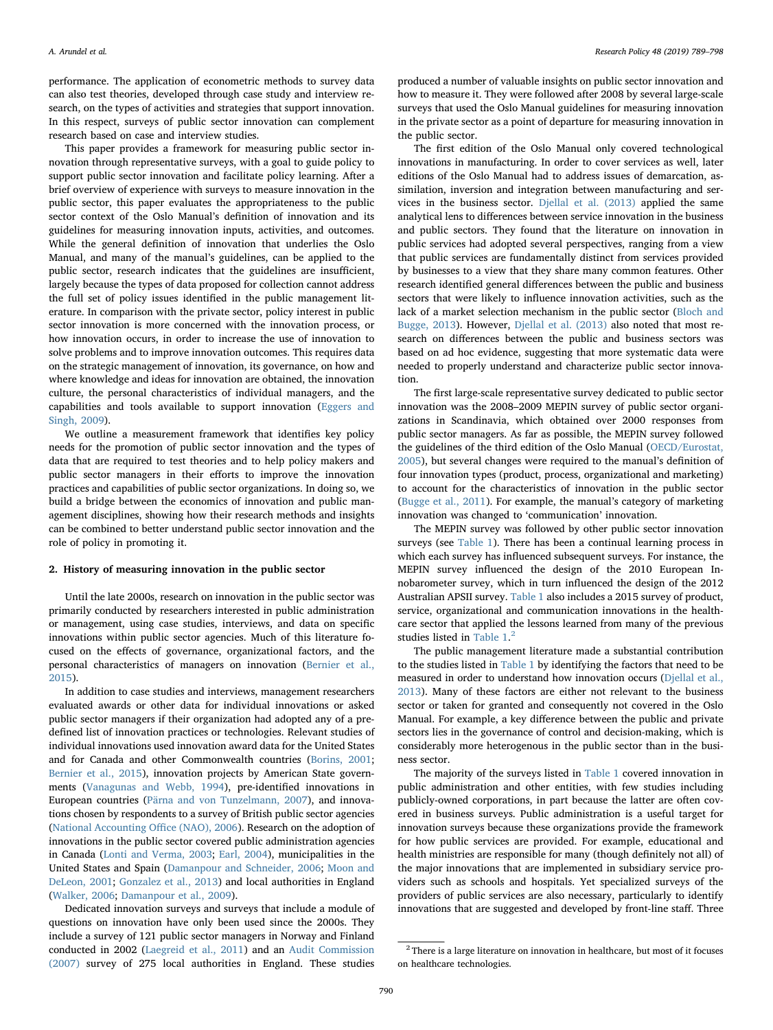performance. The application of econometric methods to survey data can also test theories, developed through case study and interview research, on the types of activities and strategies that support innovation. In this respect, surveys of public sector innovation can complement research based on case and interview studies.

This paper provides a framework for measuring public sector innovation through representative surveys, with a goal to guide policy to support public sector innovation and facilitate policy learning. After a brief overview of experience with surveys to measure innovation in the public sector, this paper evaluates the appropriateness to the public sector context of the Oslo Manual's definition of innovation and its guidelines for measuring innovation inputs, activities, and outcomes. While the general definition of innovation that underlies the Oslo Manual, and many of the manual's guidelines, can be applied to the public sector, research indicates that the guidelines are insufficient, largely because the types of data proposed for collection cannot address the full set of policy issues identified in the public management literature. In comparison with the private sector, policy interest in public sector innovation is more concerned with the innovation process, or how innovation occurs, in order to increase the use of innovation to solve problems and to improve innovation outcomes. This requires data on the strategic management of innovation, its governance, on how and where knowledge and ideas for innovation are obtained, the innovation culture, the personal characteristics of individual managers, and the capabilities and tools available to support innovation ([Eggers and](#page-8-1) [Singh, 2009](#page-8-1)).

We outline a measurement framework that identifies key policy needs for the promotion of public sector innovation and the types of data that are required to test theories and to help policy makers and public sector managers in their efforts to improve the innovation practices and capabilities of public sector organizations. In doing so, we build a bridge between the economics of innovation and public management disciplines, showing how their research methods and insights can be combined to better understand public sector innovation and the role of policy in promoting it.

# 2. History of measuring innovation in the public sector

Until the late 2000s, research on innovation in the public sector was primarily conducted by researchers interested in public administration or management, using case studies, interviews, and data on specific innovations within public sector agencies. Much of this literature focused on the effects of governance, organizational factors, and the personal characteristics of managers on innovation [\(Bernier et al.,](#page-8-2) [2015\)](#page-8-2).

In addition to case studies and interviews, management researchers evaluated awards or other data for individual innovations or asked public sector managers if their organization had adopted any of a predefined list of innovation practices or technologies. Relevant studies of individual innovations used innovation award data for the United States and for Canada and other Commonwealth countries ([Borins, 2001](#page-8-3); [Bernier et al., 2015\)](#page-8-2), innovation projects by American State governments ([Vanagunas and Webb, 1994\)](#page-9-2), pre-identified innovations in European countries [\(Pärna and von Tunzelmann, 2007](#page-9-3)), and innovations chosen by respondents to a survey of British public sector agencies ([National Accounting O](#page-9-4)ffice (NAO), 2006). Research on the adoption of innovations in the public sector covered public administration agencies in Canada ([Lonti and Verma, 2003;](#page-8-4) [Earl, 2004](#page-8-5)), municipalities in the United States and Spain [\(Damanpour and Schneider, 2006](#page-8-6); [Moon and](#page-9-5) [DeLeon,](#page-9-5) 2001; [Gonzalez et al., 2013](#page-8-7)) and local authorities in England ([Walker, 2006;](#page-9-6) [Damanpour et al., 2009](#page-8-8)).

Dedicated innovation surveys and surveys that include a module of questions on innovation have only been used since the 2000s. They include a survey of 121 public sector managers in Norway and Finland conducted in 2002 [\(Laegreid et al., 2011\)](#page-8-9) and an [Audit Commission](#page-8-10) [\(2007\)](#page-8-10) survey of 275 local authorities in England. These studies

produced a number of valuable insights on public sector innovation and how to measure it. They were followed after 2008 by several large-scale surveys that used the Oslo Manual guidelines for measuring innovation in the private sector as a point of departure for measuring innovation in the public sector.

The first edition of the Oslo Manual only covered technological innovations in manufacturing. In order to cover services as well, later editions of the Oslo Manual had to address issues of demarcation, assimilation, inversion and integration between manufacturing and services in the business sector. [Djellal et al. \(2013\)](#page-8-11) applied the same analytical lens to differences between service innovation in the business and public sectors. They found that the literature on innovation in public services had adopted several perspectives, ranging from a view that public services are fundamentally distinct from services provided by businesses to a view that they share many common features. Other research identified general differences between the public and business sectors that were likely to influence innovation activities, such as the lack of a market selection mechanism in the public sector ([Bloch and](#page-8-12) [Bugge, 2013](#page-8-12)). However, [Djellal et al. \(2013\)](#page-8-11) also noted that most research on differences between the public and business sectors was based on ad hoc evidence, suggesting that more systematic data were needed to properly understand and characterize public sector innovation.

The first large-scale representative survey dedicated to public sector innovation was the 2008–2009 MEPIN survey of public sector organizations in Scandinavia, which obtained over 2000 responses from public sector managers. As far as possible, the MEPIN survey followed the guidelines of the third edition of the Oslo Manual [\(OECD/Eurostat,](#page-9-7) [2005\)](#page-9-7), but several changes were required to the manual's definition of four innovation types (product, process, organizational and marketing) to account for the characteristics of innovation in the public sector ([Bugge et al., 2011\)](#page-8-13). For example, the manual's category of marketing innovation was changed to 'communication' innovation.

The MEPIN survey was followed by other public sector innovation surveys (see [Table 1](#page-2-0)). There has been a continual learning process in which each survey has influenced subsequent surveys. For instance, the MEPIN survey influenced the design of the 2010 European Innobarometer survey, which in turn influenced the design of the 2012 Australian APSII survey. [Table](#page-2-0) 1 also includes a 2015 survey of product, service, organizational and communication innovations in the healthcare sector that applied the lessons learned from many of the previous studies listed in [Table 1.](#page-2-0)<sup>[2](#page-1-0)</sup>

The public management literature made a substantial contribution to the studies listed in [Table 1](#page-2-0) by identifying the factors that need to be measured in order to understand how innovation occurs [\(Djellal et al.,](#page-8-11) [2013\)](#page-8-11). Many of these factors are either not relevant to the business sector or taken for granted and consequently not covered in the Oslo Manual. For example, a key difference between the public and private sectors lies in the governance of control and decision-making, which is considerably more heterogenous in the public sector than in the business sector.

The majority of the surveys listed in [Table 1](#page-2-0) covered innovation in public administration and other entities, with few studies including publicly-owned corporations, in part because the latter are often covered in business surveys. Public administration is a useful target for innovation surveys because these organizations provide the framework for how public services are provided. For example, educational and health ministries are responsible for many (though definitely not all) of the major innovations that are implemented in subsidiary service providers such as schools and hospitals. Yet specialized surveys of the providers of public services are also necessary, particularly to identify innovations that are suggested and developed by front-line staff. Three

<span id="page-1-0"></span> $2$  There is a large literature on innovation in healthcare, but most of it focuses on healthcare technologies.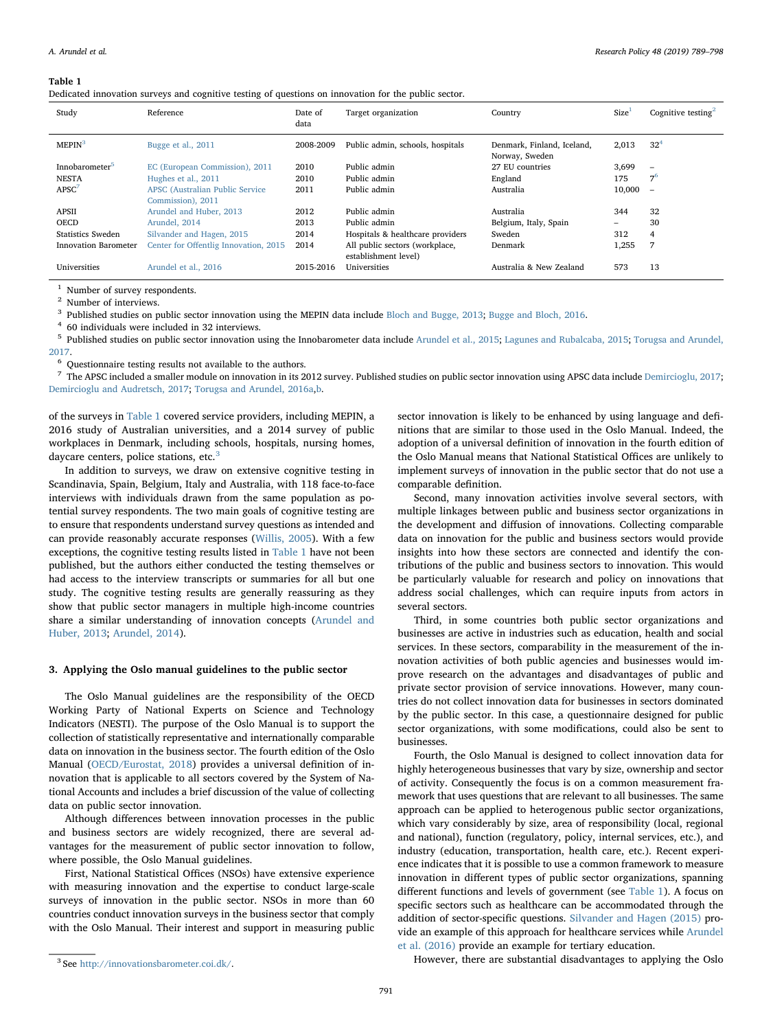### <span id="page-2-0"></span>Table 1

| Dedicated innovation surveys and cognitive testing of questions on innovation for the public sector. |  |  |
|------------------------------------------------------------------------------------------------------|--|--|
|                                                                                                      |  |  |

| Study                       | Reference                             | Date of<br>data | Target organization                  | Country                                      | Size <sup>1</sup> | Cognitive testing <sup>2</sup>  |
|-----------------------------|---------------------------------------|-----------------|--------------------------------------|----------------------------------------------|-------------------|---------------------------------|
| MEPIN <sup>3</sup>          | Bugge et al., 2011                    | 2008-2009       | Public admin, schools, hospitals     | Denmark, Finland, Iceland,<br>Norway, Sweden | 2,013             | $32^{4}$                        |
| Innobarometer <sup>5</sup>  | EC (European Commission), 2011        | 2010            | Public admin                         | 27 EU countries                              | 3,699             | -                               |
| <b>NESTA</b>                | Hughes et al., 2011                   | 2010            | Public admin                         | England                                      | 175               | 70                              |
| APSC <sup>7</sup>           | APSC (Australian Public Service       | 2011            | Public admin                         | Australia                                    | 10,000            | $\hspace{0.1mm}-\hspace{0.1mm}$ |
|                             | Commission), 2011                     |                 |                                      |                                              |                   |                                 |
| <b>APSII</b>                | Arundel and Huber, 2013               | 2012            | Public admin                         | Australia                                    | 344               | 32                              |
| <b>OECD</b>                 | Arundel, 2014                         | 2013            | Public admin                         | Belgium, Italy, Spain                        | -                 | 30                              |
| <b>Statistics Sweden</b>    | Silvander and Hagen, 2015             | 2014            | Hospitals & healthcare providers     | Sweden                                       | 312               | 4                               |
| <b>Innovation Barometer</b> | Center for Offentlig Innovation, 2015 | 2014            | All public sectors (workplace,       | Denmark                                      | 1,255             |                                 |
| Universities                | Arundel et al., 2016                  | 2015-2016       | establishment level)<br>Universities | Australia & New Zealand                      | 573               | 13                              |

<span id="page-2-2"></span><sup>1</sup> Number of survey respondents.

<span id="page-2-3"></span><sup>2</sup> Number of interviews.

<span id="page-2-4"></span><sup>3</sup> Published studies on public sector innovation using the MEPIN data include [Bloch and Bugge, 2013](#page-8-12); [Bugge and Bloch, 2016](#page-8-21).

<span id="page-2-5"></span><sup>4</sup> 60 individuals were included in 32 interviews.

<span id="page-2-6"></span><sup>5</sup> Published studies on public sector innovation using the Innobarometer data include [Arundel et al., 2015;](#page-8-22) [Lagunes and Rubalcaba, 2015](#page-8-23); [Torugsa and Arundel,](#page-9-11) [2017.](#page-9-11)

<span id="page-2-7"></span><sup>6</sup> Questionnaire testing results not available to the authors.

<span id="page-2-8"></span> $\frac{7}{10}$  The APSC included a smaller module on innovation in its 2012 survey. Published studies on public sector innovation using APSC data include [Demircioglu, 2017;](#page-8-24) [Demircioglu and Audretsch, 2017;](#page-8-25) [Torugsa and Arundel, 2016a,](#page-9-12)[b.](#page-9-13)

of the surveys in [Table 1](#page-2-0) covered service providers, including MEPIN, a 2016 study of Australian universities, and a 2014 survey of public workplaces in Denmark, including schools, hospitals, nursing homes, daycare centers, police stations, etc.<sup>[3](#page-2-1)</sup>

In addition to surveys, we draw on extensive cognitive testing in Scandinavia, Spain, Belgium, Italy and Australia, with 118 face-to-face interviews with individuals drawn from the same population as potential survey respondents. The two main goals of cognitive testing are to ensure that respondents understand survey questions as intended and can provide reasonably accurate responses ([Willis, 2005](#page-9-8)). With a few exceptions, the cognitive testing results listed in [Table 1](#page-2-0) have not been published, but the authors either conducted the testing themselves or had access to the interview transcripts or summaries for all but one study. The cognitive testing results are generally reassuring as they show that public sector managers in multiple high-income countries share a similar understanding of innovation concepts [\(Arundel and](#page-8-14) [Huber, 2013](#page-8-14); [Arundel, 2014](#page-8-15)).

# 3. Applying the Oslo manual guidelines to the public sector

The Oslo Manual guidelines are the responsibility of the OECD Working Party of National Experts on Science and Technology Indicators (NESTI). The purpose of the Oslo Manual is to support the collection of statistically representative and internationally comparable data on innovation in the business sector. The fourth edition of the Oslo Manual [\(OECD/Eurostat, 2018](#page-9-9)) provides a universal definition of innovation that is applicable to all sectors covered by the System of National Accounts and includes a brief discussion of the value of collecting data on public sector innovation.

Although differences between innovation processes in the public and business sectors are widely recognized, there are several advantages for the measurement of public sector innovation to follow, where possible, the Oslo Manual guidelines.

First, National Statistical Offices (NSOs) have extensive experience with measuring innovation and the expertise to conduct large-scale surveys of innovation in the public sector. NSOs in more than 60 countries conduct innovation surveys in the business sector that comply with the Oslo Manual. Their interest and support in measuring public

sector innovation is likely to be enhanced by using language and definitions that are similar to those used in the Oslo Manual. Indeed, the adoption of a universal definition of innovation in the fourth edition of the Oslo Manual means that National Statistical Offices are unlikely to implement surveys of innovation in the public sector that do not use a comparable definition.

Second, many innovation activities involve several sectors, with multiple linkages between public and business sector organizations in the development and diffusion of innovations. Collecting comparable data on innovation for the public and business sectors would provide insights into how these sectors are connected and identify the contributions of the public and business sectors to innovation. This would be particularly valuable for research and policy on innovations that address social challenges, which can require inputs from actors in several sectors.

Third, in some countries both public sector organizations and businesses are active in industries such as education, health and social services. In these sectors, comparability in the measurement of the innovation activities of both public agencies and businesses would improve research on the advantages and disadvantages of public and private sector provision of service innovations. However, many countries do not collect innovation data for businesses in sectors dominated by the public sector. In this case, a questionnaire designed for public sector organizations, with some modifications, could also be sent to businesses.

Fourth, the Oslo Manual is designed to collect innovation data for highly heterogeneous businesses that vary by size, ownership and sector of activity. Consequently the focus is on a common measurement framework that uses questions that are relevant to all businesses. The same approach can be applied to heterogenous public sector organizations, which vary considerably by size, area of responsibility (local, regional and national), function (regulatory, policy, internal services, etc.), and industry (education, transportation, health care, etc.). Recent experience indicates that it is possible to use a common framework to measure innovation in different types of public sector organizations, spanning different functions and levels of government (see [Table 1\)](#page-2-0). A focus on specific sectors such as healthcare can be accommodated through the addition of sector-specific questions. [Silvander and Hagen \(2015\)](#page-9-10) provide an example of this approach for healthcare services while [Arundel](#page-8-16) [et al. \(2016\)](#page-8-16) provide an example for tertiary education.

However, there are substantial disadvantages to applying the Oslo

<span id="page-2-1"></span><sup>3</sup> See <http://innovationsbarometer.coi.dk/>.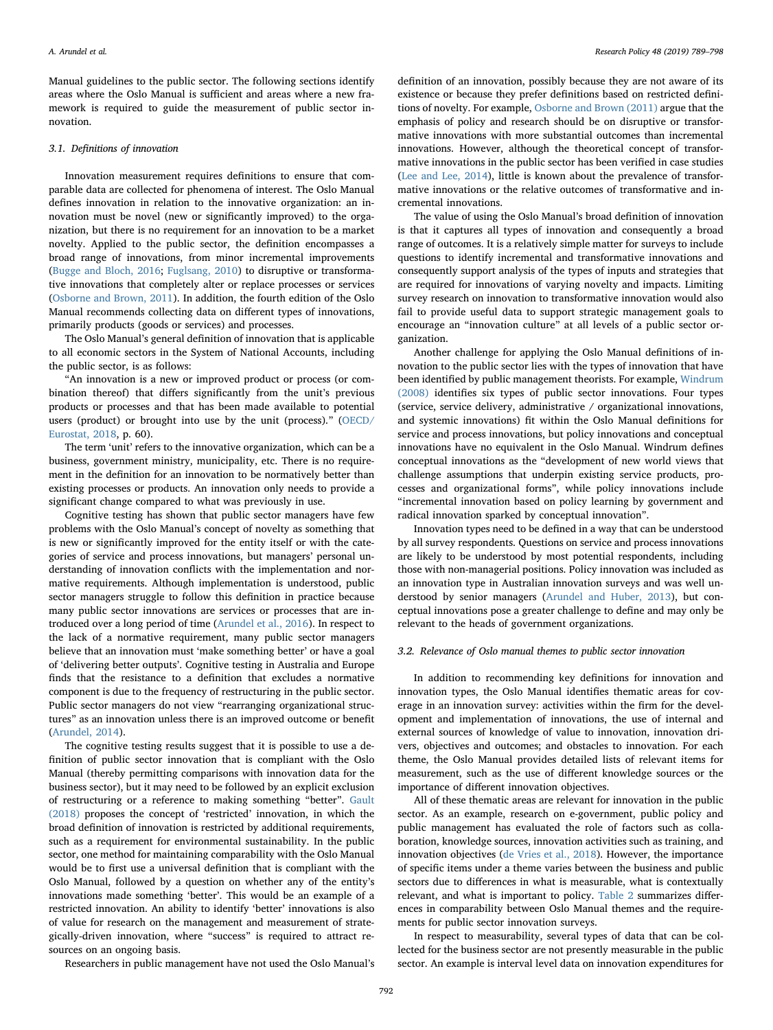Manual guidelines to the public sector. The following sections identify areas where the Oslo Manual is sufficient and areas where a new framework is required to guide the measurement of public sector innovation.

#### 3.1. Definitions of innovation

Innovation measurement requires definitions to ensure that comparable data are collected for phenomena of interest. The Oslo Manual defines innovation in relation to the innovative organization: an innovation must be novel (new or significantly improved) to the organization, but there is no requirement for an innovation to be a market novelty. Applied to the public sector, the definition encompasses a broad range of innovations, from minor incremental improvements ([Bugge and Bloch, 2016;](#page-8-21) [Fuglsang, 2010](#page-8-26)) to disruptive or transformative innovations that completely alter or replace processes or services ([Osborne and Brown, 2011](#page-9-14)). In addition, the fourth edition of the Oslo Manual recommends collecting data on different types of innovations, primarily products (goods or services) and processes.

The Oslo Manual's general definition of innovation that is applicable to all economic sectors in the System of National Accounts, including the public sector, is as follows:

"An innovation is a new or improved product or process (or combination thereof) that differs significantly from the unit's previous products or processes and that has been made available to potential users (product) or brought into use by the unit (process)." ([OECD/](#page-9-9) [Eurostat, 2018,](#page-9-9) p. 60).

The term 'unit' refers to the innovative organization, which can be a business, government ministry, municipality, etc. There is no requirement in the definition for an innovation to be normatively better than existing processes or products. An innovation only needs to provide a significant change compared to what was previously in use.

Cognitive testing has shown that public sector managers have few problems with the Oslo Manual's concept of novelty as something that is new or significantly improved for the entity itself or with the categories of service and process innovations, but managers' personal understanding of innovation conflicts with the implementation and normative requirements. Although implementation is understood, public sector managers struggle to follow this definition in practice because many public sector innovations are services or processes that are introduced over a long period of time ([Arundel et al., 2016\)](#page-8-16). In respect to the lack of a normative requirement, many public sector managers believe that an innovation must 'make something better' or have a goal of 'delivering better outputs'. Cognitive testing in Australia and Europe finds that the resistance to a definition that excludes a normative component is due to the frequency of restructuring in the public sector. Public sector managers do not view "rearranging organizational structures" as an innovation unless there is an improved outcome or benefit ([Arundel, 2014\)](#page-8-15).

The cognitive testing results suggest that it is possible to use a definition of public sector innovation that is compliant with the Oslo Manual (thereby permitting comparisons with innovation data for the business sector), but it may need to be followed by an explicit exclusion of restructuring or a reference to making something "better". [Gault](#page-8-27) [\(2018\)](#page-8-27) proposes the concept of 'restricted' innovation, in which the broad definition of innovation is restricted by additional requirements, such as a requirement for environmental sustainability. In the public sector, one method for maintaining comparability with the Oslo Manual would be to first use a universal definition that is compliant with the Oslo Manual, followed by a question on whether any of the entity's innovations made something 'better'. This would be an example of a restricted innovation. An ability to identify 'better' innovations is also of value for research on the management and measurement of strategically-driven innovation, where "success" is required to attract resources on an ongoing basis.

Researchers in public management have not used the Oslo Manual's

definition of an innovation, possibly because they are not aware of its existence or because they prefer definitions based on restricted definitions of novelty. For example, [Osborne and Brown \(2011\)](#page-9-14) argue that the emphasis of policy and research should be on disruptive or transformative innovations with more substantial outcomes than incremental innovations. However, although the theoretical concept of transformative innovations in the public sector has been verified in case studies ([Lee and Lee, 2014\)](#page-8-28), little is known about the prevalence of transformative innovations or the relative outcomes of transformative and incremental innovations.

The value of using the Oslo Manual's broad definition of innovation is that it captures all types of innovation and consequently a broad range of outcomes. It is a relatively simple matter for surveys to include questions to identify incremental and transformative innovations and consequently support analysis of the types of inputs and strategies that are required for innovations of varying novelty and impacts. Limiting survey research on innovation to transformative innovation would also fail to provide useful data to support strategic management goals to encourage an "innovation culture" at all levels of a public sector organization.

Another challenge for applying the Oslo Manual definitions of innovation to the public sector lies with the types of innovation that have been identified by public management theorists. For example, [Windrum](#page-9-15) [\(2008\)](#page-9-15) identifies six types of public sector innovations. Four types (service, service delivery, administrative / organizational innovations, and systemic innovations) fit within the Oslo Manual definitions for service and process innovations, but policy innovations and conceptual innovations have no equivalent in the Oslo Manual. Windrum defines conceptual innovations as the "development of new world views that challenge assumptions that underpin existing service products, processes and organizational forms", while policy innovations include "incremental innovation based on policy learning by government and radical innovation sparked by conceptual innovation".

Innovation types need to be defined in a way that can be understood by all survey respondents. Questions on service and process innovations are likely to be understood by most potential respondents, including those with non-managerial positions. Policy innovation was included as an innovation type in Australian innovation surveys and was well understood by senior managers ([Arundel and Huber, 2013](#page-8-14)), but conceptual innovations pose a greater challenge to define and may only be relevant to the heads of government organizations.

# 3.2. Relevance of Oslo manual themes to public sector innovation

In addition to recommending key definitions for innovation and innovation types, the Oslo Manual identifies thematic areas for coverage in an innovation survey: activities within the firm for the development and implementation of innovations, the use of internal and external sources of knowledge of value to innovation, innovation drivers, objectives and outcomes; and obstacles to innovation. For each theme, the Oslo Manual provides detailed lists of relevant items for measurement, such as the use of different knowledge sources or the importance of different innovation objectives.

All of these thematic areas are relevant for innovation in the public sector. As an example, research on e-government, public policy and public management has evaluated the role of factors such as collaboration, knowledge sources, innovation activities such as training, and innovation objectives ([de Vries et al., 2018\)](#page-8-0). However, the importance of specific items under a theme varies between the business and public sectors due to differences in what is measurable, what is contextually relevant, and what is important to policy. [Table 2](#page-4-0) summarizes differences in comparability between Oslo Manual themes and the requirements for public sector innovation surveys.

In respect to measurability, several types of data that can be collected for the business sector are not presently measurable in the public sector. An example is interval level data on innovation expenditures for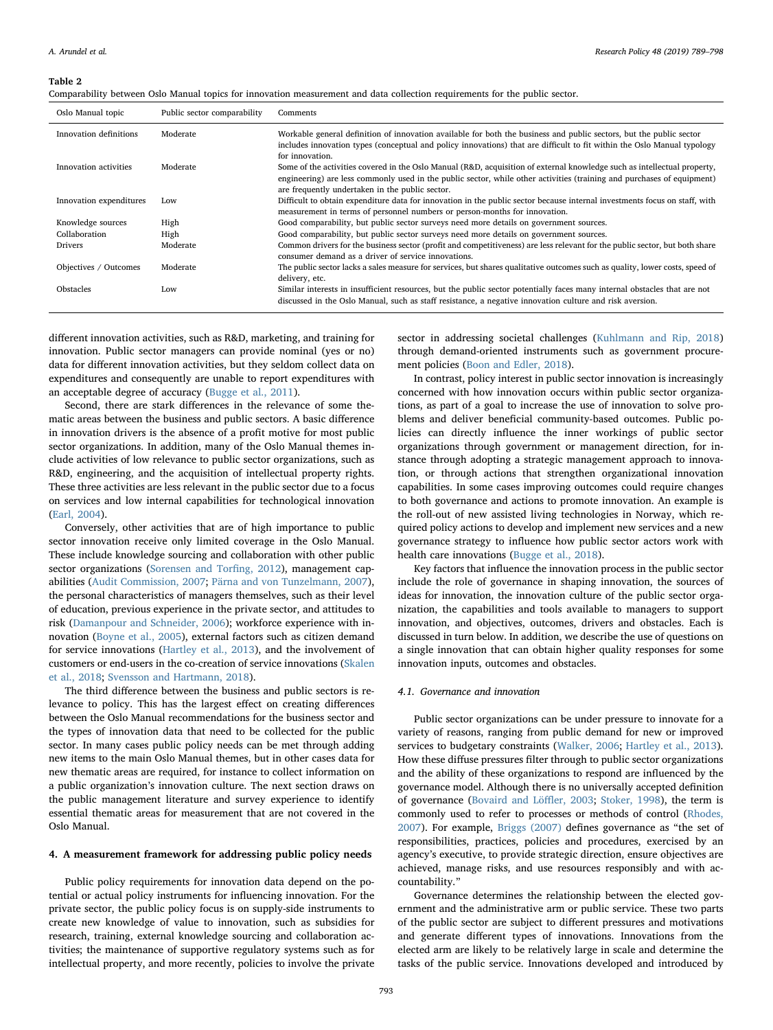#### <span id="page-4-0"></span>Table 2

|  | Comparability between Oslo Manual topics for innovation measurement and data collection requirements for the public sector. |  |  |  |  |
|--|-----------------------------------------------------------------------------------------------------------------------------|--|--|--|--|
|  |                                                                                                                             |  |  |  |  |

| Oslo Manual topic       | Public sector comparability | Comments                                                                                                                                                                                                                                                                                                                 |
|-------------------------|-----------------------------|--------------------------------------------------------------------------------------------------------------------------------------------------------------------------------------------------------------------------------------------------------------------------------------------------------------------------|
| Innovation definitions  | Moderate                    | Workable general definition of innovation available for both the business and public sectors, but the public sector<br>includes innovation types (conceptual and policy innovations) that are difficult to fit within the Oslo Manual typology                                                                           |
| Innovation activities   | Moderate                    | for innovation.<br>Some of the activities covered in the Oslo Manual (R&D, acquisition of external knowledge such as intellectual property,<br>engineering) are less commonly used in the public sector, while other activities (training and purchases of equipment)<br>are frequently undertaken in the public sector. |
| Innovation expenditures | Low                         | Difficult to obtain expenditure data for innovation in the public sector because internal investments focus on staff, with<br>measurement in terms of personnel numbers or person-months for innovation.                                                                                                                 |
| Knowledge sources       | High                        | Good comparability, but public sector surveys need more details on government sources.                                                                                                                                                                                                                                   |
| Collaboration           | High                        | Good comparability, but public sector surveys need more details on government sources.                                                                                                                                                                                                                                   |
| <b>Drivers</b>          | Moderate                    | Common drivers for the business sector (profit and competitiveness) are less relevant for the public sector, but both share<br>consumer demand as a driver of service innovations.                                                                                                                                       |
| Objectives / Outcomes   | Moderate                    | The public sector lacks a sales measure for services, but shares qualitative outcomes such as quality, lower costs, speed of<br>delivery, etc.                                                                                                                                                                           |
| Obstacles               | Low                         | Similar interests in insufficient resources, but the public sector potentially faces many internal obstacles that are not<br>discussed in the Oslo Manual, such as staff resistance, a negative innovation culture and risk aversion.                                                                                    |

different innovation activities, such as R&D, marketing, and training for innovation. Public sector managers can provide nominal (yes or no) data for different innovation activities, but they seldom collect data on expenditures and consequently are unable to report expenditures with an acceptable degree of accuracy [\(Bugge et al., 2011](#page-8-13)).

Second, there are stark differences in the relevance of some thematic areas between the business and public sectors. A basic difference in innovation drivers is the absence of a profit motive for most public sector organizations. In addition, many of the Oslo Manual themes include activities of low relevance to public sector organizations, such as R&D, engineering, and the acquisition of intellectual property rights. These three activities are less relevant in the public sector due to a focus on services and low internal capabilities for technological innovation ([Earl, 2004\)](#page-8-5).

Conversely, other activities that are of high importance to public sector innovation receive only limited coverage in the Oslo Manual. These include knowledge sourcing and collaboration with other public sector organizations ([Sorensen and Tor](#page-9-16)fing, 2012), management capabilities ([Audit Commission, 2007;](#page-8-10) [Pärna and von Tunzelmann, 2007](#page-9-3)), the personal characteristics of managers themselves, such as their level of education, previous experience in the private sector, and attitudes to risk [\(Damanpour and Schneider, 2006\)](#page-8-6); workforce experience with innovation [\(Boyne et al., 2005\)](#page-8-29), external factors such as citizen demand for service innovations [\(Hartley et al., 2013](#page-8-30)), and the involvement of customers or end-users in the co-creation of service innovations [\(Skalen](#page-9-17) [et al., 2018](#page-9-17); [Svensson and Hartmann, 2018](#page-9-18)).

The third difference between the business and public sectors is relevance to policy. This has the largest effect on creating differences between the Oslo Manual recommendations for the business sector and the types of innovation data that need to be collected for the public sector. In many cases public policy needs can be met through adding new items to the main Oslo Manual themes, but in other cases data for new thematic areas are required, for instance to collect information on a public organization's innovation culture. The next section draws on the public management literature and survey experience to identify essential thematic areas for measurement that are not covered in the Oslo Manual.

# 4. A measurement framework for addressing public policy needs

Public policy requirements for innovation data depend on the potential or actual policy instruments for influencing innovation. For the private sector, the public policy focus is on supply-side instruments to create new knowledge of value to innovation, such as subsidies for research, training, external knowledge sourcing and collaboration activities; the maintenance of supportive regulatory systems such as for intellectual property, and more recently, policies to involve the private

sector in addressing societal challenges ([Kuhlmann and Rip, 2018\)](#page-8-31) through demand-oriented instruments such as government procurement policies ([Boon and Edler, 2018](#page-8-32)).

In contrast, policy interest in public sector innovation is increasingly concerned with how innovation occurs within public sector organizations, as part of a goal to increase the use of innovation to solve problems and deliver beneficial community-based outcomes. Public policies can directly influence the inner workings of public sector organizations through government or management direction, for instance through adopting a strategic management approach to innovation, or through actions that strengthen organizational innovation capabilities. In some cases improving outcomes could require changes to both governance and actions to promote innovation. An example is the roll-out of new assisted living technologies in Norway, which required policy actions to develop and implement new services and a new governance strategy to influence how public sector actors work with health care innovations ([Bugge et al., 2018\)](#page-8-33).

Key factors that influence the innovation process in the public sector include the role of governance in shaping innovation, the sources of ideas for innovation, the innovation culture of the public sector organization, the capabilities and tools available to managers to support innovation, and objectives, outcomes, drivers and obstacles. Each is discussed in turn below. In addition, we describe the use of questions on a single innovation that can obtain higher quality responses for some innovation inputs, outcomes and obstacles.

### 4.1. Governance and innovation

Public sector organizations can be under pressure to innovate for a variety of reasons, ranging from public demand for new or improved services to budgetary constraints [\(Walker, 2006](#page-9-6); [Hartley et al., 2013](#page-8-30)). How these diffuse pressures filter through to public sector organizations and the ability of these organizations to respond are influenced by the governance model. Although there is no universally accepted definition of governance ([Bovaird and Lö](#page-8-34)ffler, 2003; [Stoker, 1998](#page-9-19)), the term is commonly used to refer to processes or methods of control ([Rhodes,](#page-9-20) [2007\)](#page-9-20). For example, [Briggs \(2007\)](#page-8-35) defines governance as "the set of responsibilities, practices, policies and procedures, exercised by an agency's executive, to provide strategic direction, ensure objectives are achieved, manage risks, and use resources responsibly and with accountability."

Governance determines the relationship between the elected government and the administrative arm or public service. These two parts of the public sector are subject to different pressures and motivations and generate different types of innovations. Innovations from the elected arm are likely to be relatively large in scale and determine the tasks of the public service. Innovations developed and introduced by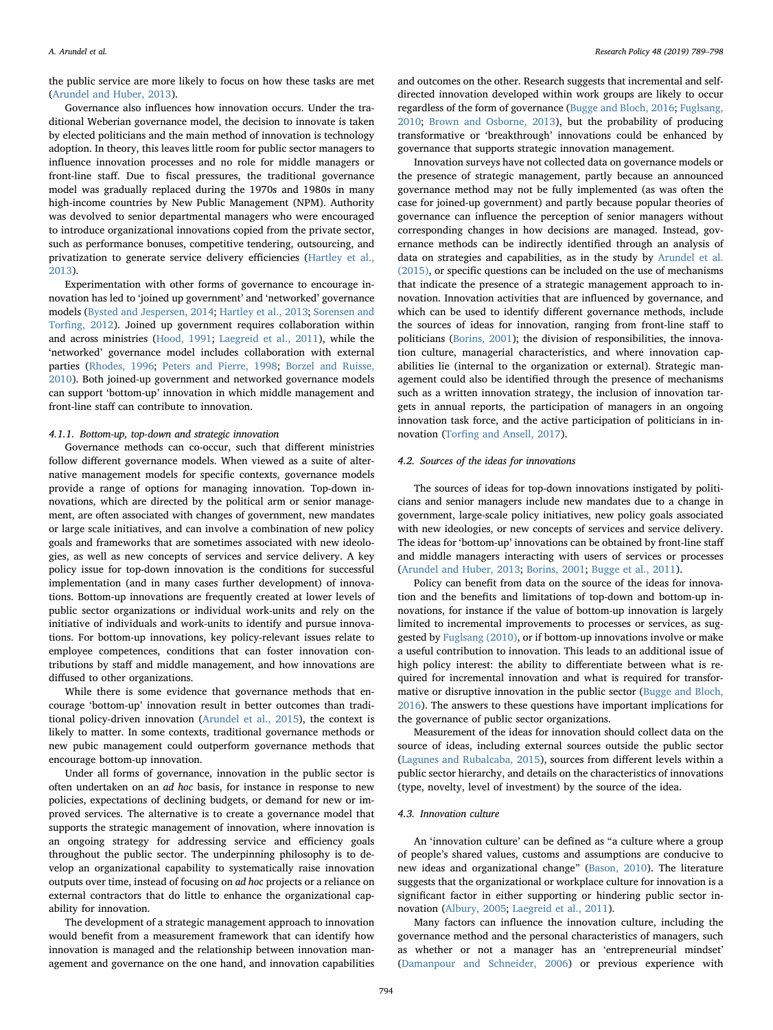the public service are more likely to focus on how these tasks are met ([Arundel and Huber, 2013](#page-8-14)).

Governance also influences how innovation occurs. Under the traditional Weberian governance model, the decision to innovate is taken by elected politicians and the main method of innovation is technology adoption. In theory, this leaves little room for public sector managers to influence innovation processes and no role for middle managers or front-line staff. Due to fiscal pressures, the traditional governance model was gradually replaced during the 1970s and 1980s in many high-income countries by New Public Management (NPM). Authority was devolved to senior departmental managers who were encouraged to introduce organizational innovations copied from the private sector, such as performance bonuses, competitive tendering, outsourcing, and privatization to generate service delivery efficiencies [\(Hartley et al.,](#page-8-30) [2013\)](#page-8-30).

Experimentation with other forms of governance to encourage innovation has led to 'joined up government' and 'networked' governance models ([Bysted and Jespersen, 2014;](#page-8-36) [Hartley et al., 2013](#page-8-30); [Sorensen and](#page-9-16) Torfi[ng, 2012\)](#page-9-16). Joined up government requires collaboration within and across ministries ([Hood, 1991](#page-8-37); [Laegreid et al., 2011\)](#page-8-9), while the 'networked' governance model includes collaboration with external parties ([Rhodes, 1996;](#page-9-21) [Peters and Pierre, 1998;](#page-9-22) [Borzel and Ruisse,](#page-8-38) [2010\)](#page-8-38). Both joined-up government and networked governance models can support 'bottom-up' innovation in which middle management and front-line staff can contribute to innovation.

#### 4.1.1. Bottom-up, top-down and strategic innovation

Governance methods can co-occur, such that different ministries follow different governance models. When viewed as a suite of alternative management models for specific contexts, governance models provide a range of options for managing innovation. Top-down innovations, which are directed by the political arm or senior management, are often associated with changes of government, new mandates or large scale initiatives, and can involve a combination of new policy goals and frameworks that are sometimes associated with new ideologies, as well as new concepts of services and service delivery. A key policy issue for top-down innovation is the conditions for successful implementation (and in many cases further development) of innovations. Bottom-up innovations are frequently created at lower levels of public sector organizations or individual work-units and rely on the initiative of individuals and work-units to identify and pursue innovations. For bottom-up innovations, key policy-relevant issues relate to employee competences, conditions that can foster innovation contributions by staff and middle management, and how innovations are diffused to other organizations.

While there is some evidence that governance methods that encourage 'bottom-up' innovation result in better outcomes than traditional policy-driven innovation [\(Arundel et al., 2015](#page-8-22)), the context is likely to matter. In some contexts, traditional governance methods or new pubic management could outperform governance methods that encourage bottom-up innovation.

Under all forms of governance, innovation in the public sector is often undertaken on an ad hoc basis, for instance in response to new policies, expectations of declining budgets, or demand for new or improved services. The alternative is to create a governance model that supports the strategic management of innovation, where innovation is an ongoing strategy for addressing service and efficiency goals throughout the public sector. The underpinning philosophy is to develop an organizational capability to systematically raise innovation outputs over time, instead of focusing on ad hoc projects or a reliance on external contractors that do little to enhance the organizational capability for innovation.

The development of a strategic management approach to innovation would benefit from a measurement framework that can identify how innovation is managed and the relationship between innovation management and governance on the one hand, and innovation capabilities

and outcomes on the other. Research suggests that incremental and selfdirected innovation developed within work groups are likely to occur regardless of the form of governance [\(Bugge and Bloch, 2016;](#page-8-21) [Fuglsang,](#page-8-26) [2010;](#page-8-26) [Brown and Osborne, 2013](#page-8-39)), but the probability of producing transformative or 'breakthrough' innovations could be enhanced by governance that supports strategic innovation management.

Innovation surveys have not collected data on governance models or the presence of strategic management, partly because an announced governance method may not be fully implemented (as was often the case for joined-up government) and partly because popular theories of governance can influence the perception of senior managers without corresponding changes in how decisions are managed. Instead, governance methods can be indirectly identified through an analysis of data on strategies and capabilities, as in the study by [Arundel et al.](#page-8-22) [\(2015\),](#page-8-22) or specific questions can be included on the use of mechanisms that indicate the presence of a strategic management approach to innovation. Innovation activities that are influenced by governance, and which can be used to identify different governance methods, include the sources of ideas for innovation, ranging from front-line staff to politicians [\(Borins, 2001\)](#page-8-3); the division of responsibilities, the innovation culture, managerial characteristics, and where innovation capabilities lie (internal to the organization or external). Strategic management could also be identified through the presence of mechanisms such as a written innovation strategy, the inclusion of innovation targets in annual reports, the participation of managers in an ongoing innovation task force, and the active participation of politicians in innovation (Torfi[ng and Ansell, 2017](#page-9-1)).

# 4.2. Sources of the ideas for innovations

The sources of ideas for top-down innovations instigated by politicians and senior managers include new mandates due to a change in government, large-scale policy initiatives, new policy goals associated with new ideologies, or new concepts of services and service delivery. The ideas for 'bottom-up' innovations can be obtained by front-line staff and middle managers interacting with users of services or processes ([Arundel and Huber, 2013](#page-8-14); [Borins, 2001](#page-8-3); [Bugge et al., 2011](#page-8-13)).

Policy can benefit from data on the source of the ideas for innovation and the benefits and limitations of top-down and bottom-up innovations, for instance if the value of bottom-up innovation is largely limited to incremental improvements to processes or services, as suggested by [Fuglsang \(2010\),](#page-8-26) or if bottom-up innovations involve or make a useful contribution to innovation. This leads to an additional issue of high policy interest: the ability to differentiate between what is required for incremental innovation and what is required for transformative or disruptive innovation in the public sector ([Bugge and Bloch,](#page-8-21) [2016\)](#page-8-21). The answers to these questions have important implications for the governance of public sector organizations.

Measurement of the ideas for innovation should collect data on the source of ideas, including external sources outside the public sector ([Lagunes and Rubalcaba, 2015](#page-8-23)), sources from different levels within a public sector hierarchy, and details on the characteristics of innovations (type, novelty, level of investment) by the source of the idea.

# 4.3. Innovation culture

An 'innovation culture' can be defined as "a culture where a group of people's shared values, customs and assumptions are conducive to new ideas and organizational change" ([Bason, 2010\)](#page-8-40). The literature suggests that the organizational or workplace culture for innovation is a significant factor in either supporting or hindering public sector innovation [\(Albury, 2005](#page-8-41); [Laegreid et al., 2011\)](#page-8-9).

Many factors can influence the innovation culture, including the governance method and the personal characteristics of managers, such as whether or not a manager has an 'entrepreneurial mindset' ([Damanpour and Schneider, 2006\)](#page-8-6) or previous experience with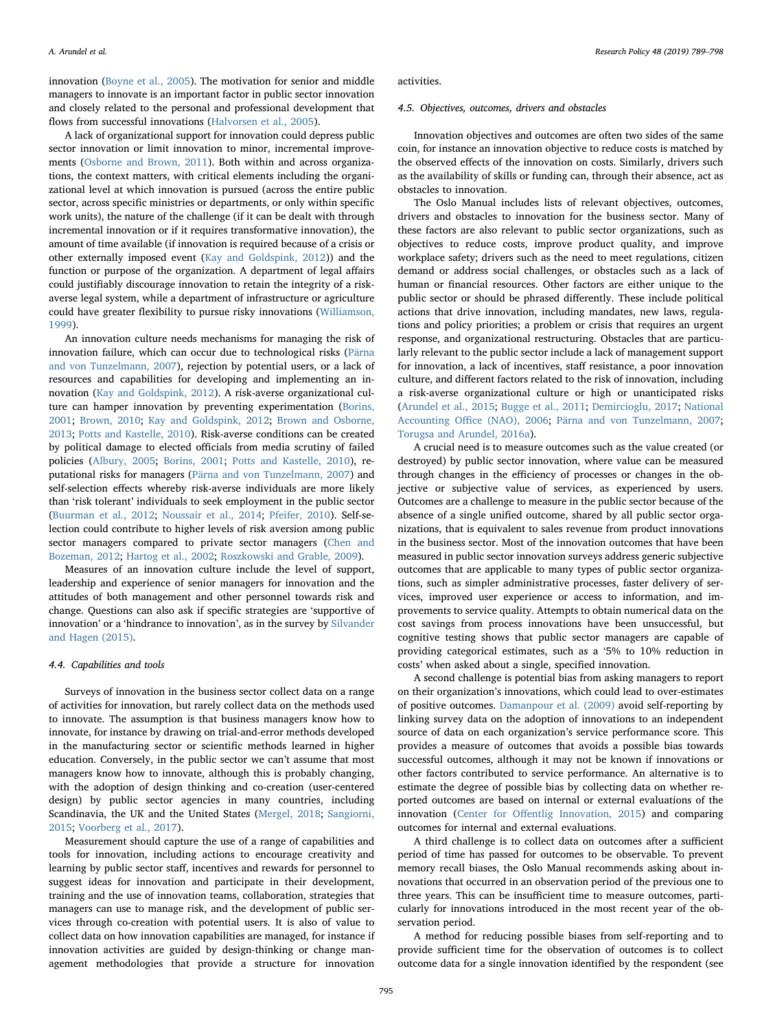innovation [\(Boyne et al., 2005\)](#page-8-29). The motivation for senior and middle managers to innovate is an important factor in public sector innovation and closely related to the personal and professional development that flows from successful innovations ([Halvorsen et al., 2005\)](#page-8-42).

A lack of organizational support for innovation could depress public sector innovation or limit innovation to minor, incremental improvements ([Osborne and Brown, 2011](#page-9-14)). Both within and across organizations, the context matters, with critical elements including the organizational level at which innovation is pursued (across the entire public sector, across specific ministries or departments, or only within specific work units), the nature of the challenge (if it can be dealt with through incremental innovation or if it requires transformative innovation), the amount of time available (if innovation is required because of a crisis or other externally imposed event ([Kay and Goldspink, 2012](#page-8-43))) and the function or purpose of the organization. A department of legal affairs could justifiably discourage innovation to retain the integrity of a riskaverse legal system, while a department of infrastructure or agriculture could have greater flexibility to pursue risky innovations ([Williamson,](#page-9-23) [1999\)](#page-9-23).

An innovation culture needs mechanisms for managing the risk of innovation failure, which can occur due to technological risks [\(Pärna](#page-9-3) [and von Tunzelmann, 2007](#page-9-3)), rejection by potential users, or a lack of resources and capabilities for developing and implementing an innovation [\(Kay and Goldspink, 2012](#page-8-43)). A risk-averse organizational culture can hamper innovation by preventing experimentation [\(Borins,](#page-8-3) [2001;](#page-8-3) [Brown, 2010](#page-8-44); [Kay and Goldspink, 2012;](#page-8-43) [Brown and Osborne,](#page-8-39) [2013;](#page-8-39) [Potts and Kastelle, 2010\)](#page-9-24). Risk-averse conditions can be created by political damage to elected officials from media scrutiny of failed policies [\(Albury, 2005;](#page-8-41) [Borins, 2001;](#page-8-3) [Potts and Kastelle, 2010\)](#page-9-24), reputational risks for managers [\(Pärna and von Tunzelmann, 2007\)](#page-9-3) and self-selection effects whereby risk-averse individuals are more likely than 'risk tolerant' individuals to seek employment in the public sector ([Buurman et al., 2012](#page-8-45); [Noussair et al., 2014;](#page-9-25) [Pfeifer, 2010\)](#page-9-26). Self-selection could contribute to higher levels of risk aversion among public sector managers compared to private sector managers ([Chen and](#page-8-46) [Bozeman, 2012;](#page-8-46) [Hartog et al., 2002](#page-8-47); [Roszkowski and Grable, 2009\)](#page-9-27).

Measures of an innovation culture include the level of support, leadership and experience of senior managers for innovation and the attitudes of both management and other personnel towards risk and change. Questions can also ask if specific strategies are 'supportive of innovation' or a 'hindrance to innovation', as in the survey by [Silvander](#page-9-10) [and Hagen \(2015\).](#page-9-10)

#### 4.4. Capabilities and tools

Surveys of innovation in the business sector collect data on a range of activities for innovation, but rarely collect data on the methods used to innovate. The assumption is that business managers know how to innovate, for instance by drawing on trial-and-error methods developed in the manufacturing sector or scientific methods learned in higher education. Conversely, in the public sector we can't assume that most managers know how to innovate, although this is probably changing, with the adoption of design thinking and co-creation (user-centered design) by public sector agencies in many countries, including Scandinavia, the UK and the United States [\(Mergel, 2018](#page-9-28); [Sangiorni,](#page-9-29) [2015;](#page-9-29) [Voorberg et al., 2017\)](#page-9-30).

Measurement should capture the use of a range of capabilities and tools for innovation, including actions to encourage creativity and learning by public sector staff, incentives and rewards for personnel to suggest ideas for innovation and participate in their development, training and the use of innovation teams, collaboration, strategies that managers can use to manage risk, and the development of public services through co-creation with potential users. It is also of value to collect data on how innovation capabilities are managed, for instance if innovation activities are guided by design-thinking or change management methodologies that provide a structure for innovation activities.

#### 4.5. Objectives, outcomes, drivers and obstacles

Innovation objectives and outcomes are often two sides of the same coin, for instance an innovation objective to reduce costs is matched by the observed effects of the innovation on costs. Similarly, drivers such as the availability of skills or funding can, through their absence, act as obstacles to innovation.

The Oslo Manual includes lists of relevant objectives, outcomes, drivers and obstacles to innovation for the business sector. Many of these factors are also relevant to public sector organizations, such as objectives to reduce costs, improve product quality, and improve workplace safety; drivers such as the need to meet regulations, citizen demand or address social challenges, or obstacles such as a lack of human or financial resources. Other factors are either unique to the public sector or should be phrased differently. These include political actions that drive innovation, including mandates, new laws, regulations and policy priorities; a problem or crisis that requires an urgent response, and organizational restructuring. Obstacles that are particularly relevant to the public sector include a lack of management support for innovation, a lack of incentives, staff resistance, a poor innovation culture, and different factors related to the risk of innovation, including a risk-averse organizational culture or high or unanticipated risks ([Arundel et al., 2015](#page-8-22); [Bugge et al., 2011](#page-8-13); [Demircioglu, 2017;](#page-8-24) [National](#page-9-4) Accounting Offi[ce \(NAO\), 2006;](#page-9-4) [Pärna and von Tunzelmann, 2007](#page-9-3); [Torugsa and Arundel, 2016a](#page-9-12)).

A crucial need is to measure outcomes such as the value created (or destroyed) by public sector innovation, where value can be measured through changes in the efficiency of processes or changes in the objective or subjective value of services, as experienced by users. Outcomes are a challenge to measure in the public sector because of the absence of a single unified outcome, shared by all public sector organizations, that is equivalent to sales revenue from product innovations in the business sector. Most of the innovation outcomes that have been measured in public sector innovation surveys address generic subjective outcomes that are applicable to many types of public sector organizations, such as simpler administrative processes, faster delivery of services, improved user experience or access to information, and improvements to service quality. Attempts to obtain numerical data on the cost savings from process innovations have been unsuccessful, but cognitive testing shows that public sector managers are capable of providing categorical estimates, such as a '5% to 10% reduction in costs' when asked about a single, specified innovation.

A second challenge is potential bias from asking managers to report on their organization's innovations, which could lead to over-estimates of positive outcomes. [Damanpour et al. \(2009\)](#page-8-8) avoid self-reporting by linking survey data on the adoption of innovations to an independent source of data on each organization's service performance score. This provides a measure of outcomes that avoids a possible bias towards successful outcomes, although it may not be known if innovations or other factors contributed to service performance. An alternative is to estimate the degree of possible bias by collecting data on whether reported outcomes are based on internal or external evaluations of the innovation (Center for Off[entlig Innovation, 2015](#page-8-20)) and comparing outcomes for internal and external evaluations.

A third challenge is to collect data on outcomes after a sufficient period of time has passed for outcomes to be observable. To prevent memory recall biases, the Oslo Manual recommends asking about innovations that occurred in an observation period of the previous one to three years. This can be insufficient time to measure outcomes, particularly for innovations introduced in the most recent year of the observation period.

A method for reducing possible biases from self-reporting and to provide sufficient time for the observation of outcomes is to collect outcome data for a single innovation identified by the respondent (see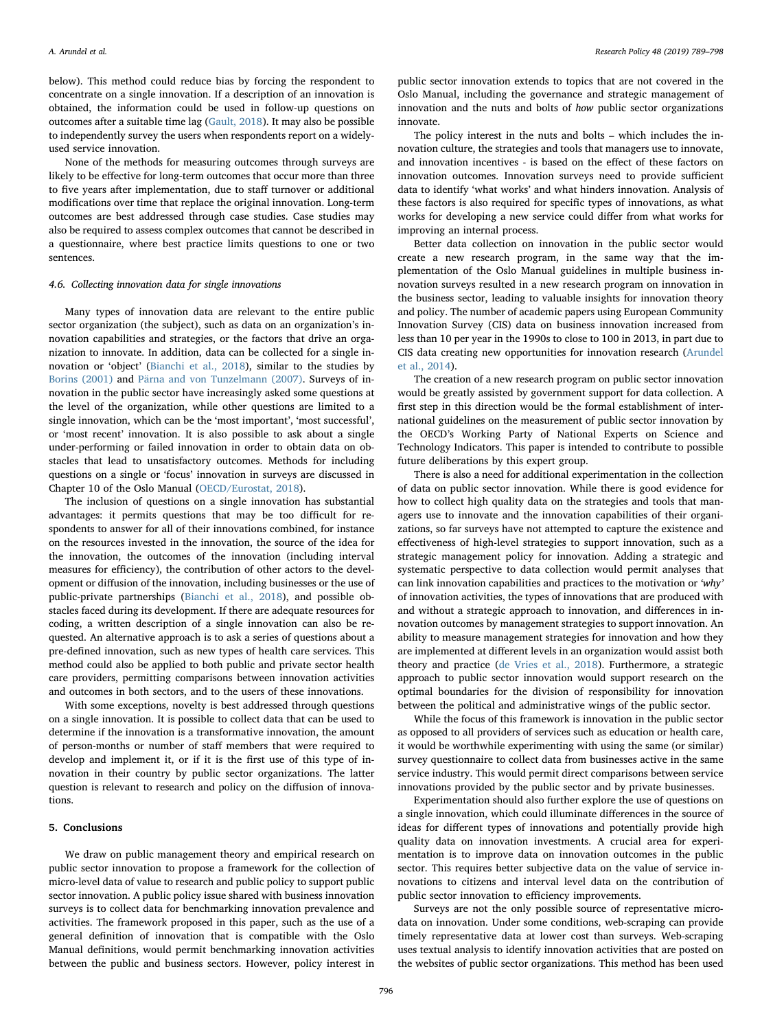below). This method could reduce bias by forcing the respondent to concentrate on a single innovation. If a description of an innovation is obtained, the information could be used in follow-up questions on outcomes after a suitable time lag ([Gault, 2018](#page-8-27)). It may also be possible to independently survey the users when respondents report on a widelyused service innovation.

None of the methods for measuring outcomes through surveys are likely to be effective for long-term outcomes that occur more than three to five years after implementation, due to staff turnover or additional modifications over time that replace the original innovation. Long-term outcomes are best addressed through case studies. Case studies may also be required to assess complex outcomes that cannot be described in a questionnaire, where best practice limits questions to one or two sentences.

# 4.6. Collecting innovation data for single innovations

Many types of innovation data are relevant to the entire public sector organization (the subject), such as data on an organization's innovation capabilities and strategies, or the factors that drive an organization to innovate. In addition, data can be collected for a single innovation or 'object' ([Bianchi et al., 2018](#page-8-48)), similar to the studies by [Borins \(2001\)](#page-8-3) and [Pärna and von Tunzelmann \(2007\)](#page-9-3). Surveys of innovation in the public sector have increasingly asked some questions at the level of the organization, while other questions are limited to a single innovation, which can be the 'most important', 'most successful', or 'most recent' innovation. It is also possible to ask about a single under-performing or failed innovation in order to obtain data on obstacles that lead to unsatisfactory outcomes. Methods for including questions on a single or 'focus' innovation in surveys are discussed in Chapter 10 of the Oslo Manual ([OECD/Eurostat, 2018\)](#page-9-9).

The inclusion of questions on a single innovation has substantial advantages: it permits questions that may be too difficult for respondents to answer for all of their innovations combined, for instance on the resources invested in the innovation, the source of the idea for the innovation, the outcomes of the innovation (including interval measures for efficiency), the contribution of other actors to the development or diffusion of the innovation, including businesses or the use of public-private partnerships [\(Bianchi et al., 2018\)](#page-8-48), and possible obstacles faced during its development. If there are adequate resources for coding, a written description of a single innovation can also be requested. An alternative approach is to ask a series of questions about a pre-defined innovation, such as new types of health care services. This method could also be applied to both public and private sector health care providers, permitting comparisons between innovation activities and outcomes in both sectors, and to the users of these innovations.

With some exceptions, novelty is best addressed through questions on a single innovation. It is possible to collect data that can be used to determine if the innovation is a transformative innovation, the amount of person-months or number of staff members that were required to develop and implement it, or if it is the first use of this type of innovation in their country by public sector organizations. The latter question is relevant to research and policy on the diffusion of innovations.

# 5. Conclusions

We draw on public management theory and empirical research on public sector innovation to propose a framework for the collection of micro-level data of value to research and public policy to support public sector innovation. A public policy issue shared with business innovation surveys is to collect data for benchmarking innovation prevalence and activities. The framework proposed in this paper, such as the use of a general definition of innovation that is compatible with the Oslo Manual definitions, would permit benchmarking innovation activities between the public and business sectors. However, policy interest in

public sector innovation extends to topics that are not covered in the Oslo Manual, including the governance and strategic management of innovation and the nuts and bolts of how public sector organizations innovate.

The policy interest in the nuts and bolts – which includes the innovation culture, the strategies and tools that managers use to innovate, and innovation incentives - is based on the effect of these factors on innovation outcomes. Innovation surveys need to provide sufficient data to identify 'what works' and what hinders innovation. Analysis of these factors is also required for specific types of innovations, as what works for developing a new service could differ from what works for improving an internal process.

Better data collection on innovation in the public sector would create a new research program, in the same way that the implementation of the Oslo Manual guidelines in multiple business innovation surveys resulted in a new research program on innovation in the business sector, leading to valuable insights for innovation theory and policy. The number of academic papers using European Community Innovation Survey (CIS) data on business innovation increased from less than 10 per year in the 1990s to close to 100 in 2013, in part due to CIS data creating new opportunities for innovation research [\(Arundel](#page-8-49) [et al., 2014](#page-8-49)).

The creation of a new research program on public sector innovation would be greatly assisted by government support for data collection. A first step in this direction would be the formal establishment of international guidelines on the measurement of public sector innovation by the OECD's Working Party of National Experts on Science and Technology Indicators. This paper is intended to contribute to possible future deliberations by this expert group.

There is also a need for additional experimentation in the collection of data on public sector innovation. While there is good evidence for how to collect high quality data on the strategies and tools that managers use to innovate and the innovation capabilities of their organizations, so far surveys have not attempted to capture the existence and effectiveness of high-level strategies to support innovation, such as a strategic management policy for innovation. Adding a strategic and systematic perspective to data collection would permit analyses that can link innovation capabilities and practices to the motivation or 'why' of innovation activities, the types of innovations that are produced with and without a strategic approach to innovation, and differences in innovation outcomes by management strategies to support innovation. An ability to measure management strategies for innovation and how they are implemented at different levels in an organization would assist both theory and practice ([de Vries et al., 2018\)](#page-8-0). Furthermore, a strategic approach to public sector innovation would support research on the optimal boundaries for the division of responsibility for innovation between the political and administrative wings of the public sector.

While the focus of this framework is innovation in the public sector as opposed to all providers of services such as education or health care, it would be worthwhile experimenting with using the same (or similar) survey questionnaire to collect data from businesses active in the same service industry. This would permit direct comparisons between service innovations provided by the public sector and by private businesses.

Experimentation should also further explore the use of questions on a single innovation, which could illuminate differences in the source of ideas for different types of innovations and potentially provide high quality data on innovation investments. A crucial area for experimentation is to improve data on innovation outcomes in the public sector. This requires better subjective data on the value of service innovations to citizens and interval level data on the contribution of public sector innovation to efficiency improvements.

Surveys are not the only possible source of representative microdata on innovation. Under some conditions, web-scraping can provide timely representative data at lower cost than surveys. Web-scraping uses textual analysis to identify innovation activities that are posted on the websites of public sector organizations. This method has been used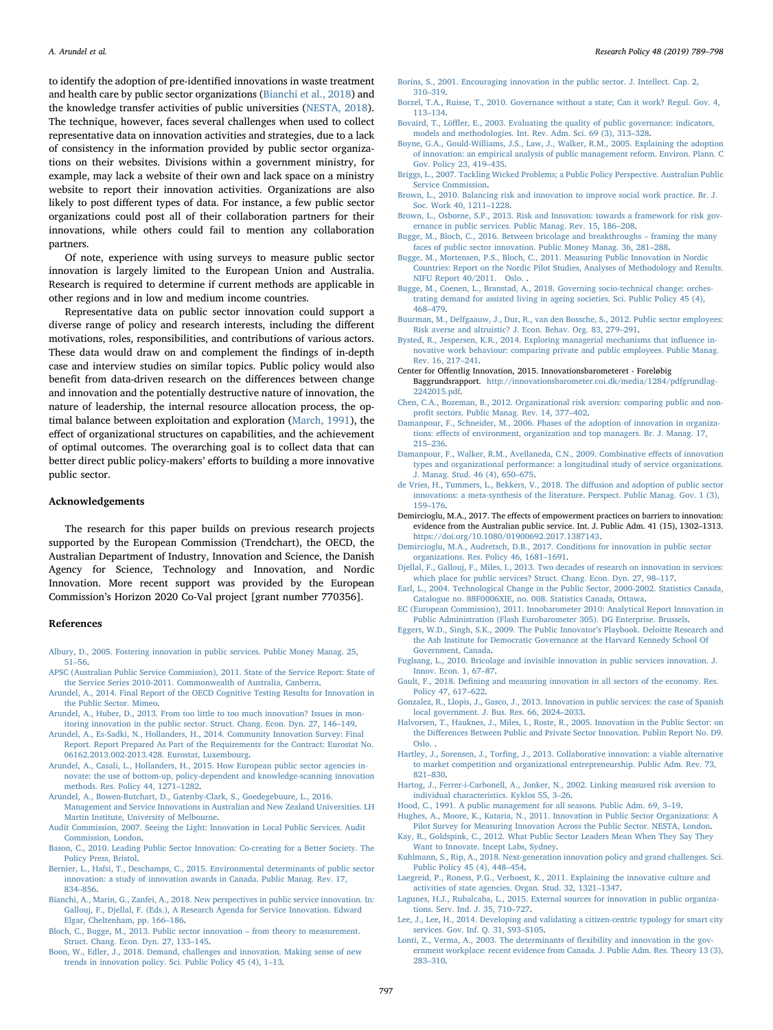to identify the adoption of pre-identified innovations in waste treatment and health care by public sector organizations ([Bianchi et al., 2018\)](#page-8-48) and the knowledge transfer activities of public universities [\(NESTA, 2018](#page-9-31)). The technique, however, faces several challenges when used to collect representative data on innovation activities and strategies, due to a lack of consistency in the information provided by public sector organizations on their websites. Divisions within a government ministry, for example, may lack a website of their own and lack space on a ministry website to report their innovation activities. Organizations are also likely to post different types of data. For instance, a few public sector organizations could post all of their collaboration partners for their innovations, while others could fail to mention any collaboration partners.

Of note, experience with using surveys to measure public sector innovation is largely limited to the European Union and Australia. Research is required to determine if current methods are applicable in other regions and in low and medium income countries.

Representative data on public sector innovation could support a diverse range of policy and research interests, including the different motivations, roles, responsibilities, and contributions of various actors. These data would draw on and complement the findings of in-depth case and interview studies on similar topics. Public policy would also benefit from data-driven research on the differences between change and innovation and the potentially destructive nature of innovation, the nature of leadership, the internal resource allocation process, the optimal balance between exploitation and exploration ([March, 1991\)](#page-9-32), the effect of organizational structures on capabilities, and the achievement of optimal outcomes. The overarching goal is to collect data that can better direct public policy-makers' efforts to building a more innovative public sector.

# Acknowledgements

The research for this paper builds on previous research projects supported by the European Commission (Trendchart), the OECD, the Australian Department of Industry, Innovation and Science, the Danish Agency for Science, Technology and Innovation, and Nordic Innovation. More recent support was provided by the European Commission's Horizon 2020 Co-Val project [grant number 770356].

#### References

- <span id="page-8-41"></span>[Albury, D., 2005. Fostering innovation in public services. Public Money Manag. 25,](http://refhub.elsevier.com/S0048-7333(18)30295-6/sbref0005) 51–[56](http://refhub.elsevier.com/S0048-7333(18)30295-6/sbref0005).
- <span id="page-8-19"></span>[APSC \(Australian Public Service Commission\), 2011. State of the Service Report: State of](http://refhub.elsevier.com/S0048-7333(18)30295-6/sbref0010) [the Service Series 2010-2011. Commonwealth of Australia, Canberra.](http://refhub.elsevier.com/S0048-7333(18)30295-6/sbref0010)
- <span id="page-8-15"></span>[Arundel, A., 2014. Final Report of the OECD Cognitive Testing Results for Innovation in](http://refhub.elsevier.com/S0048-7333(18)30295-6/sbref0015) [the Public Sector. Mimeo](http://refhub.elsevier.com/S0048-7333(18)30295-6/sbref0015).
- <span id="page-8-14"></span>[Arundel, A., Huber, D., 2013. From too little to too much innovation? Issues in mon](http://refhub.elsevier.com/S0048-7333(18)30295-6/sbref0020)[itoring innovation in the public sector. Struct. Chang. Econ. Dyn. 27, 146](http://refhub.elsevier.com/S0048-7333(18)30295-6/sbref0020)–149.
- <span id="page-8-49"></span>[Arundel, A., Es-Sadki, N., Hollanders, H., 2014. Community Innovation Survey: Final](http://refhub.elsevier.com/S0048-7333(18)30295-6/sbref0025) [Report. Report Prepared As Part of the Requirements for the Contract: Eurostat No.](http://refhub.elsevier.com/S0048-7333(18)30295-6/sbref0025) [06162.2013.002-2013.428. Eurostat, Luxembourg.](http://refhub.elsevier.com/S0048-7333(18)30295-6/sbref0025)
- <span id="page-8-22"></span>[Arundel, A., Casali, L., Hollanders, H., 2015. How European public sector agencies in](http://refhub.elsevier.com/S0048-7333(18)30295-6/sbref0030)[novate: the use of bottom-up, policy-dependent and knowledge-scanning innovation](http://refhub.elsevier.com/S0048-7333(18)30295-6/sbref0030) [methods. Res. Policy 44, 1271](http://refhub.elsevier.com/S0048-7333(18)30295-6/sbref0030)–1282.
- <span id="page-8-16"></span>[Arundel, A., Bowen-Butchart, D., Gatenby-Clark, S., Goedegebuure, L., 2016.](http://refhub.elsevier.com/S0048-7333(18)30295-6/sbref0035) [Management and Service Innovations in Australian and New Zealand Universities. LH](http://refhub.elsevier.com/S0048-7333(18)30295-6/sbref0035) [Martin Institute, University of Melbourne](http://refhub.elsevier.com/S0048-7333(18)30295-6/sbref0035).
- <span id="page-8-10"></span>[Audit Commission, 2007. Seeing the Light: Innovation in Local Public Services. Audit](http://refhub.elsevier.com/S0048-7333(18)30295-6/sbref0040) [Commission, London.](http://refhub.elsevier.com/S0048-7333(18)30295-6/sbref0040)
- <span id="page-8-40"></span>[Bason, C., 2010. Leading Public Sector Innovation: Co-creating for a Better Society. The](http://refhub.elsevier.com/S0048-7333(18)30295-6/sbref0045) [Policy Press, Bristol.](http://refhub.elsevier.com/S0048-7333(18)30295-6/sbref0045)
- <span id="page-8-2"></span>[Bernier, L., Hafsi, T., Deschamps, C., 2015. Environmental determinants of public sector](http://refhub.elsevier.com/S0048-7333(18)30295-6/sbref0050) [innovation: a study of innovation awards in Canada. Public Manag. Rev. 17,](http://refhub.elsevier.com/S0048-7333(18)30295-6/sbref0050) 834–[856](http://refhub.elsevier.com/S0048-7333(18)30295-6/sbref0050).
- <span id="page-8-48"></span>[Bianchi, A., Marin, G., Zanfei, A., 2018. New perspectives in public service innovation. In:](http://refhub.elsevier.com/S0048-7333(18)30295-6/sbref0055) [Gallouj, F., Djellal, F. \(Eds.\), A Research Agenda for Service Innovation. Edward](http://refhub.elsevier.com/S0048-7333(18)30295-6/sbref0055) [Elgar, Cheltenham, pp. 166](http://refhub.elsevier.com/S0048-7333(18)30295-6/sbref0055)–186.
- <span id="page-8-12"></span>[Bloch, C., Bugge, M., 2013. Public sector innovation](http://refhub.elsevier.com/S0048-7333(18)30295-6/sbref0060) – from theory to measurement. [Struct. Chang. Econ. Dyn. 27, 133](http://refhub.elsevier.com/S0048-7333(18)30295-6/sbref0060)–145.
- <span id="page-8-32"></span>[Boon, W., Edler, J., 2018. Demand, challenges and innovation. Making sense of new](http://refhub.elsevier.com/S0048-7333(18)30295-6/sbref0065) [trends in innovation policy. Sci. Public Policy 45 \(4\), 1](http://refhub.elsevier.com/S0048-7333(18)30295-6/sbref0065)–13.
- <span id="page-8-3"></span>[Borins, S., 2001. Encouraging innovation in the public sector. J. Intellect. Cap. 2,](http://refhub.elsevier.com/S0048-7333(18)30295-6/sbref0070) 310–[319](http://refhub.elsevier.com/S0048-7333(18)30295-6/sbref0070).
- <span id="page-8-38"></span>[Borzel, T.A., Ruisse, T., 2010. Governance without a state; Can it work? Regul. Gov. 4,](http://refhub.elsevier.com/S0048-7333(18)30295-6/sbref0075) 113–[134](http://refhub.elsevier.com/S0048-7333(18)30295-6/sbref0075).
- <span id="page-8-34"></span>Bovaird, T., Löffl[er, E., 2003. Evaluating the quality of public governance: indicators,](http://refhub.elsevier.com/S0048-7333(18)30295-6/sbref0080) [models and methodologies. Int. Rev. Adm. Sci. 69 \(3\), 313](http://refhub.elsevier.com/S0048-7333(18)30295-6/sbref0080)–328.
- <span id="page-8-29"></span>[Boyne, G.A., Gould-Williams, J.S., Law, J., Walker, R.M., 2005. Explaining the adoption](http://refhub.elsevier.com/S0048-7333(18)30295-6/sbref0085) [of innovation: an empirical analysis of public management reform. Environ. Plann. C](http://refhub.elsevier.com/S0048-7333(18)30295-6/sbref0085) [Gov. Policy 23, 419](http://refhub.elsevier.com/S0048-7333(18)30295-6/sbref0085)–435.
- <span id="page-8-35"></span>[Briggs, L., 2007. Tackling Wicked Problems; a Public Policy Perspective. Australian Public](http://refhub.elsevier.com/S0048-7333(18)30295-6/sbref0090) [Service Commission](http://refhub.elsevier.com/S0048-7333(18)30295-6/sbref0090).
- <span id="page-8-44"></span>[Brown, L., 2010. Balancing risk and innovation to improve social work practice. Br. J.](http://refhub.elsevier.com/S0048-7333(18)30295-6/sbref0095) [Soc. Work 40, 1211](http://refhub.elsevier.com/S0048-7333(18)30295-6/sbref0095)–1228.
- <span id="page-8-39"></span>[Brown, L., Osborne, S.P., 2013. Risk and Innovation: towards a framework for risk gov](http://refhub.elsevier.com/S0048-7333(18)30295-6/sbref0100)[ernance in public services. Public Manag. Rev. 15, 186](http://refhub.elsevier.com/S0048-7333(18)30295-6/sbref0100)–208.
- <span id="page-8-21"></span>[Bugge, M., Bloch, C., 2016. Between bricolage and breakthroughs](http://refhub.elsevier.com/S0048-7333(18)30295-6/sbref0105) – framing the many [faces of public sector innovation. Public Money Manag. 36, 281](http://refhub.elsevier.com/S0048-7333(18)30295-6/sbref0105)–288.
- <span id="page-8-13"></span>[Bugge, M., Mortensen, P.S., Bloch, C., 2011. Measuring Public Innovation in Nordic](http://refhub.elsevier.com/S0048-7333(18)30295-6/sbref0110) Countries: [Report on the Nordic Pilot Studies, Analyses of Methodology and Results.](http://refhub.elsevier.com/S0048-7333(18)30295-6/sbref0110) [NIFU Report 40/2011. Oslo.](http://refhub.elsevier.com/S0048-7333(18)30295-6/sbref0110) .
- <span id="page-8-33"></span>[Bugge, M., Coenen, L., Branstad, A., 2018. Governing socio-technical change: orches](http://refhub.elsevier.com/S0048-7333(18)30295-6/sbref0115)[trating demand for assisted living in ageing societies. Sci. Public Policy 45 \(4\),](http://refhub.elsevier.com/S0048-7333(18)30295-6/sbref0115) 468–[479](http://refhub.elsevier.com/S0048-7333(18)30295-6/sbref0115).
- <span id="page-8-45"></span>[Buurman, M., Delfgaauw, J., Dur, R., van den Bossche, S., 2012. Public sector employees:](http://refhub.elsevier.com/S0048-7333(18)30295-6/sbref0120) [Risk averse and altruistic? J. Econ. Behav. Org. 83, 279](http://refhub.elsevier.com/S0048-7333(18)30295-6/sbref0120)–291.
- <span id="page-8-36"></span>[Bysted, R., Jespersen, K.R., 2014. Exploring managerial mechanisms that in](http://refhub.elsevier.com/S0048-7333(18)30295-6/sbref0125)fluence in[novative work behaviour: comparing private and public employees. Public Manag.](http://refhub.elsevier.com/S0048-7333(18)30295-6/sbref0125) [Rev. 16, 217](http://refhub.elsevier.com/S0048-7333(18)30295-6/sbref0125)–241.
- <span id="page-8-20"></span>Center for Offentlig Innovation, 2015. Innovationsbarometeret - Foreløbig
- Baggrundsrapport. [http://innovationsbarometer.coi.dk/media/1284/pdfgrundlag-](http://innovationsbarometer.coi.dk/media/1284/pdfgrundlag-2242015.pdf)[2242015.pdf.](http://innovationsbarometer.coi.dk/media/1284/pdfgrundlag-2242015.pdf)
- <span id="page-8-46"></span>[Chen, C.A., Bozeman, B., 2012. Organizational risk aversion: comparing public and non](http://refhub.elsevier.com/S0048-7333(18)30295-6/sbref0135)profi[t sectors. Public Manag. Rev. 14, 377](http://refhub.elsevier.com/S0048-7333(18)30295-6/sbref0135)–402.
- <span id="page-8-6"></span>[Damanpour, F., Schneider, M., 2006. Phases of the adoption of innovation in organiza](http://refhub.elsevier.com/S0048-7333(18)30295-6/sbref0140)tions: eff[ects of environment, organization and top managers. Br. J. Manag. 17,](http://refhub.elsevier.com/S0048-7333(18)30295-6/sbref0140) 215–[236](http://refhub.elsevier.com/S0048-7333(18)30295-6/sbref0140).
- <span id="page-8-8"></span>[Damanpour, F., Walker, R.M., Avellaneda, C.N., 2009. Combinative e](http://refhub.elsevier.com/S0048-7333(18)30295-6/sbref0145)ffects of innovation [types and organizational performance: a longitudinal study of service organizations.](http://refhub.elsevier.com/S0048-7333(18)30295-6/sbref0145) [J. Manag. Stud. 46 \(4\), 650](http://refhub.elsevier.com/S0048-7333(18)30295-6/sbref0145)–675.
- <span id="page-8-0"></span>[de Vries, H., Tummers, L., Bekkers, V., 2018. The di](http://refhub.elsevier.com/S0048-7333(18)30295-6/sbref0150)ffusion and adoption of public sector [innovations: a meta-synthesis of the literature. Perspect. Public Manag. Gov. 1 \(3\),](http://refhub.elsevier.com/S0048-7333(18)30295-6/sbref0150) 159–[176](http://refhub.elsevier.com/S0048-7333(18)30295-6/sbref0150).
- <span id="page-8-24"></span>Demircioglu, M.A., 2017. The effects of empowerment practices on barriers to innovation: evidence from the Australian public service. Int. J. Public Adm. 41 (15), 1302–1313. <https://doi.org/10.1080/01900692.2017.1387143>.
- <span id="page-8-25"></span>[Demircioglu, M.A., Audretsch, D.B., 2017. Conditions for innovation in public sector](http://refhub.elsevier.com/S0048-7333(18)30295-6/sbref0160) [organizations. Res. Policy 46, 1681](http://refhub.elsevier.com/S0048-7333(18)30295-6/sbref0160)–1691.
- <span id="page-8-11"></span>[Djellal, F., Gallouj, F., Miles, I., 2013. Two decades of research on innovation in services:](http://refhub.elsevier.com/S0048-7333(18)30295-6/sbref0165) [which place for public services? Struct. Chang. Econ. Dyn. 27, 98](http://refhub.elsevier.com/S0048-7333(18)30295-6/sbref0165)–117.
- <span id="page-8-5"></span>[Earl, L., 2004. Technological Change in the Public Sector, 2000-2002. Statistics Canada,](http://refhub.elsevier.com/S0048-7333(18)30295-6/sbref0170) [Catalogue no. 88F0006XIE, no. 008. Statistics Canada, Ottawa.](http://refhub.elsevier.com/S0048-7333(18)30295-6/sbref0170)
- <span id="page-8-17"></span>[EC \(European Commission\), 2011. Innobarometer 2010: Analytical Report Innovation in](http://refhub.elsevier.com/S0048-7333(18)30295-6/sbref0175) [Public Administration \(Flash Eurobarometer 305\). DG Enterprise. Brussels](http://refhub.elsevier.com/S0048-7333(18)30295-6/sbref0175).
- <span id="page-8-1"></span>[Eggers, W.D., Singh, S.K., 2009. The Public Innovator](http://refhub.elsevier.com/S0048-7333(18)30295-6/sbref0180)'s Playbook. Deloitte Research and [the Ash Institute for Democratic Governance at the Harvard Kennedy School Of](http://refhub.elsevier.com/S0048-7333(18)30295-6/sbref0180) [Government, Canada](http://refhub.elsevier.com/S0048-7333(18)30295-6/sbref0180).
- <span id="page-8-26"></span>[Fuglsang, L., 2010. Bricolage and invisible innovation in public services innovation. J.](http://refhub.elsevier.com/S0048-7333(18)30295-6/sbref0185) [Innov. Econ. 1, 67](http://refhub.elsevier.com/S0048-7333(18)30295-6/sbref0185)–87.
- <span id="page-8-27"></span>Gault, F., 2018. Defi[ning and measuring innovation in all sectors of the economy. Res.](http://refhub.elsevier.com/S0048-7333(18)30295-6/sbref0190) [Policy 47, 617](http://refhub.elsevier.com/S0048-7333(18)30295-6/sbref0190)–622.
- <span id="page-8-7"></span>[Gonzalez, R., Llopis, J., Gasco, J., 2013. Innovation in public services: the case of Spanish](http://refhub.elsevier.com/S0048-7333(18)30295-6/sbref0195) local [government. J. Bus. Res. 66, 2024](http://refhub.elsevier.com/S0048-7333(18)30295-6/sbref0195)–2033.
- <span id="page-8-42"></span>[Halvorsen, T., Hauknes, J., Miles, I., Roste, R., 2005. Innovation in the Public Sector: on](http://refhub.elsevier.com/S0048-7333(18)30295-6/sbref0200) the Diff[erences Between Public and Private Sector Innovation. Publin Report No. D9.](http://refhub.elsevier.com/S0048-7333(18)30295-6/sbref0200) [Oslo.](http://refhub.elsevier.com/S0048-7333(18)30295-6/sbref0200) .
- <span id="page-8-30"></span>Hartley, J., Sorensen, J., Torfi[ng, J., 2013. Collaborative innovation: a viable alternative](http://refhub.elsevier.com/S0048-7333(18)30295-6/sbref0205) [to market competition and organizational entrepreneurship. Public Adm. Rev. 73,](http://refhub.elsevier.com/S0048-7333(18)30295-6/sbref0205) 821–[830](http://refhub.elsevier.com/S0048-7333(18)30295-6/sbref0205).
- <span id="page-8-47"></span>[Hartog, J., Ferrer-i-Carbonell, A., Jonker, N., 2002. Linking measured risk aversion to](http://refhub.elsevier.com/S0048-7333(18)30295-6/sbref0210) [individual characteristics. Kyklos 55, 3](http://refhub.elsevier.com/S0048-7333(18)30295-6/sbref0210)–26.
- <span id="page-8-37"></span>[Hood, C., 1991. A public management for all seasons. Public Adm. 69, 3](http://refhub.elsevier.com/S0048-7333(18)30295-6/sbref0215)–19.

<span id="page-8-18"></span>[Hughes, A., Moore, K., Kataria, N., 2011. Innovation in Public Sector Organizations: A](http://refhub.elsevier.com/S0048-7333(18)30295-6/sbref0220) [Pilot Survey for Measuring Innovation Across the Public Sector. NESTA, London](http://refhub.elsevier.com/S0048-7333(18)30295-6/sbref0220).

- <span id="page-8-43"></span>[Kay, R., Goldspink, C., 2012. What Public Sector Leaders Mean When They Say They](http://refhub.elsevier.com/S0048-7333(18)30295-6/sbref0225) [Want to Innovate. Incept Labs, Sydney.](http://refhub.elsevier.com/S0048-7333(18)30295-6/sbref0225)
- <span id="page-8-31"></span>[Kuhlmann, S., Rip, A., 2018. Next-generation innovation policy and grand challenges. Sci.](http://refhub.elsevier.com/S0048-7333(18)30295-6/sbref0230) [Public Policy 45 \(4\), 448](http://refhub.elsevier.com/S0048-7333(18)30295-6/sbref0230)–454.
- <span id="page-8-9"></span>[Laegreid, P., Roness, P.G., Verhoest, K., 2011. Explaining the innovative culture and](http://refhub.elsevier.com/S0048-7333(18)30295-6/sbref0235) [activities of state agencies. Organ. Stud. 32, 1321](http://refhub.elsevier.com/S0048-7333(18)30295-6/sbref0235)–1347.
- <span id="page-8-23"></span>[Lagunes, H.J., Rubalcaba, L., 2015. External sources for innovation in public organiza](http://refhub.elsevier.com/S0048-7333(18)30295-6/sbref0240)[tions. Serv. Ind. J. 35, 710](http://refhub.elsevier.com/S0048-7333(18)30295-6/sbref0240)–727.
- <span id="page-8-28"></span>[Lee, J., Lee, H., 2014. Developing and validating a citizen-centric typology for smart city](http://refhub.elsevier.com/S0048-7333(18)30295-6/sbref0245) [services. Gov. Inf. Q. 31, S93](http://refhub.elsevier.com/S0048-7333(18)30295-6/sbref0245)–S105.
- <span id="page-8-4"></span>[Lonti, Z., Verma, A., 2003. The determinants of](http://refhub.elsevier.com/S0048-7333(18)30295-6/sbref0250) flexibility and innovation in the gov[ernment workplace: recent evidence from Canada. J. Public Adm. Res. Theory 13 \(3\),](http://refhub.elsevier.com/S0048-7333(18)30295-6/sbref0250) 283–[310](http://refhub.elsevier.com/S0048-7333(18)30295-6/sbref0250).